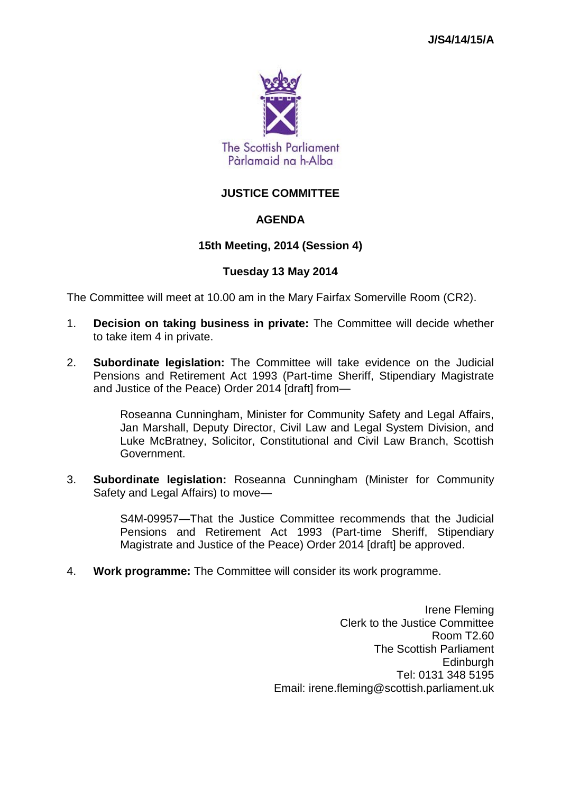

# **JUSTICE COMMITTEE**

# **AGENDA**

### **15th Meeting, 2014 (Session 4)**

### **Tuesday 13 May 2014**

The Committee will meet at 10.00 am in the Mary Fairfax Somerville Room (CR2).

- 1. **Decision on taking business in private:** The Committee will decide whether to take item 4 in private.
- 2. **Subordinate legislation:** The Committee will take evidence on the Judicial Pensions and Retirement Act 1993 (Part-time Sheriff, Stipendiary Magistrate and Justice of the Peace) Order 2014 [draft] from—

Roseanna Cunningham, Minister for Community Safety and Legal Affairs, Jan Marshall, Deputy Director, Civil Law and Legal System Division, and Luke McBratney, Solicitor, Constitutional and Civil Law Branch, Scottish Government.

3. **Subordinate legislation:** Roseanna Cunningham (Minister for Community Safety and Legal Affairs) to move—

> S4M-09957—That the Justice Committee recommends that the Judicial Pensions and Retirement Act 1993 (Part-time Sheriff, Stipendiary Magistrate and Justice of the Peace) Order 2014 [draft] be approved.

4. **Work programme:** The Committee will consider its work programme.

Irene Fleming Clerk to the Justice Committee Room T2.60 The Scottish Parliament **Edinburgh** Tel: 0131 348 5195 Email: irene.fleming@scottish.parliament.uk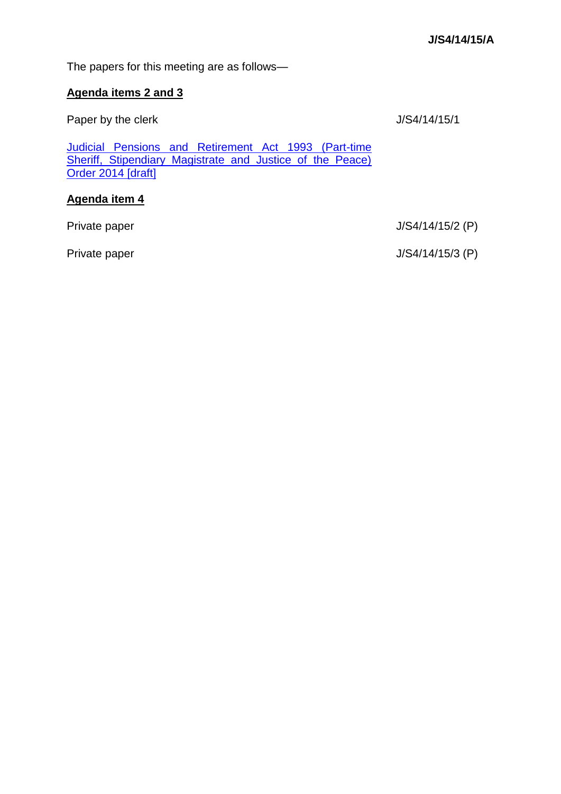The papers for this meeting are as follows—

## **Agenda items 2 and 3**

Paper by the clerk J/S4/14/15/1

[Judicial Pensions and Retirement Act 1993 \(Part-time](http://www.legislation.gov.uk/sdsi/2014/9780111023242/contents)  [Sheriff, Stipendiary Magistrate and Justice of the Peace\)](http://www.legislation.gov.uk/sdsi/2014/9780111023242/contents)  [Order 2014 \[draft\]](http://www.legislation.gov.uk/sdsi/2014/9780111023242/contents)

# **Agenda item 4**

Private paper J/S4/14/15/2 (P)

Private paper J/S4/14/15/3 (P)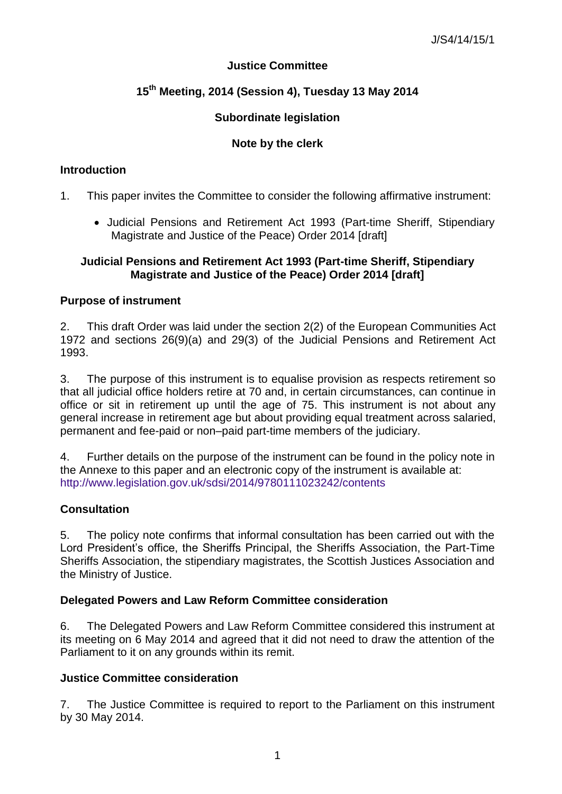# **Justice Committee**

# **15th Meeting, 2014 (Session 4), Tuesday 13 May 2014**

# **Subordinate legislation**

# **Note by the clerk**

#### **Introduction**

- 1. This paper invites the Committee to consider the following affirmative instrument:
	- Judicial Pensions and Retirement Act 1993 (Part-time Sheriff, Stipendiary Magistrate and Justice of the Peace) Order 2014 [draft]

#### **Judicial Pensions and Retirement Act 1993 (Part-time Sheriff, Stipendiary Magistrate and Justice of the Peace) Order 2014 [draft]**

### **Purpose of instrument**

2. This draft Order was laid under the section 2(2) of the European Communities Act 1972 and sections 26(9)(a) and 29(3) of the Judicial Pensions and Retirement Act 1993.

3. The purpose of this instrument is to equalise provision as respects retirement so that all judicial office holders retire at 70 and, in certain circumstances, can continue in office or sit in retirement up until the age of 75. This instrument is not about any general increase in retirement age but about providing equal treatment across salaried, permanent and fee-paid or non–paid part-time members of the judiciary.

4. Further details on the purpose of the instrument can be found in the policy note in the Annexe to this paper and an electronic copy of the instrument is available at: <http://www.legislation.gov.uk/sdsi/2014/9780111023242/contents>

# **Consultation**

5. The policy note confirms that informal consultation has been carried out with the Lord President's office, the Sheriffs Principal, the Sheriffs Association, the Part-Time Sheriffs Association, the stipendiary magistrates, the Scottish Justices Association and the Ministry of Justice.

# **Delegated Powers and Law Reform Committee consideration**

6. The Delegated Powers and Law Reform Committee considered this instrument at its meeting on 6 May 2014 and agreed that it did not need to draw the attention of the Parliament to it on any grounds within its remit.

# **Justice Committee consideration**

7. The Justice Committee is required to report to the Parliament on this instrument by 30 May 2014.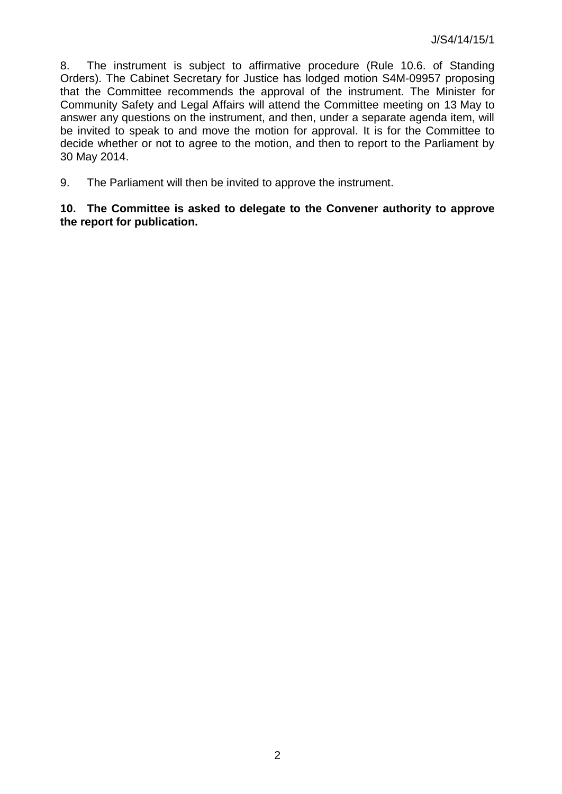8. The instrument is subject to affirmative procedure (Rule 10.6. of Standing Orders). The Cabinet Secretary for Justice has lodged motion S4M-09957 proposing that the Committee recommends the approval of the instrument. The Minister for Community Safety and Legal Affairs will attend the Committee meeting on 13 May to answer any questions on the instrument, and then, under a separate agenda item, will be invited to speak to and move the motion for approval. It is for the Committee to decide whether or not to agree to the motion, and then to report to the Parliament by 30 May 2014.

9. The Parliament will then be invited to approve the instrument.

**10. The Committee is asked to delegate to the Convener authority to approve the report for publication.**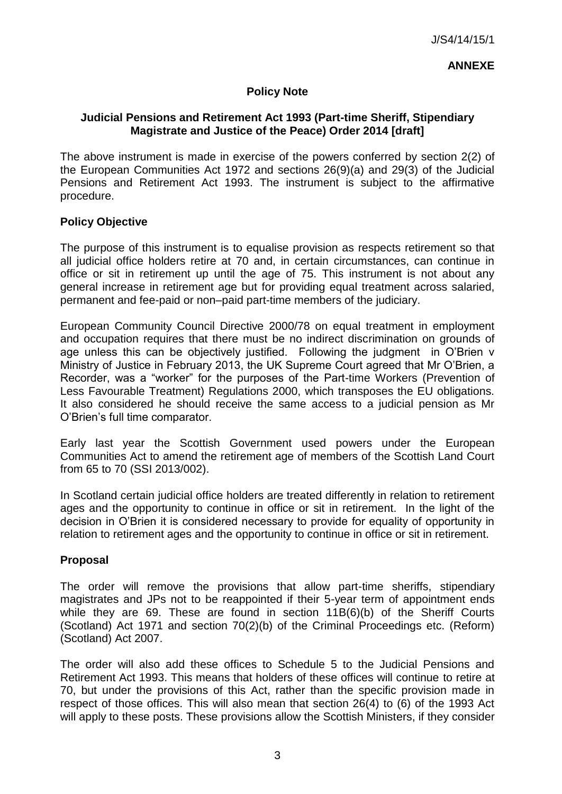#### **ANNEXE**

### **Policy Note**

### **Judicial Pensions and Retirement Act 1993 (Part-time Sheriff, Stipendiary Magistrate and Justice of the Peace) Order 2014 [draft]**

The above instrument is made in exercise of the powers conferred by section 2(2) of the European Communities Act 1972 and sections 26(9)(a) and 29(3) of the Judicial Pensions and Retirement Act 1993. The instrument is subject to the affirmative procedure.

#### **Policy Objective**

The purpose of this instrument is to equalise provision as respects retirement so that all judicial office holders retire at 70 and, in certain circumstances, can continue in office or sit in retirement up until the age of 75. This instrument is not about any general increase in retirement age but for providing equal treatment across salaried, permanent and fee-paid or non–paid part-time members of the judiciary.

European Community Council Directive 2000/78 on equal treatment in employment and occupation requires that there must be no indirect discrimination on grounds of age unless this can be objectively justified. Following the judgment in O'Brien v Ministry of Justice in February 2013, the UK Supreme Court agreed that Mr O'Brien, a Recorder, was a "worker" for the purposes of the Part-time Workers (Prevention of Less Favourable Treatment) Regulations 2000, which transposes the EU obligations. It also considered he should receive the same access to a judicial pension as Mr O'Brien's full time comparator.

Early last year the Scottish Government used powers under the European Communities Act to amend the retirement age of members of the Scottish Land Court from 65 to 70 (SSI 2013/002).

In Scotland certain judicial office holders are treated differently in relation to retirement ages and the opportunity to continue in office or sit in retirement. In the light of the decision in O'Brien it is considered necessary to provide for equality of opportunity in relation to retirement ages and the opportunity to continue in office or sit in retirement.

#### **Proposal**

The order will remove the provisions that allow part-time sheriffs, stipendiary magistrates and JPs not to be reappointed if their 5-year term of appointment ends while they are 69. These are found in section 11B(6)(b) of the Sheriff Courts (Scotland) Act 1971 and section 70(2)(b) of the Criminal Proceedings etc. (Reform) (Scotland) Act 2007.

The order will also add these offices to Schedule 5 to the Judicial Pensions and Retirement Act 1993. This means that holders of these offices will continue to retire at 70, but under the provisions of this Act, rather than the specific provision made in respect of those offices. This will also mean that section 26(4) to (6) of the 1993 Act will apply to these posts. These provisions allow the Scottish Ministers, if they consider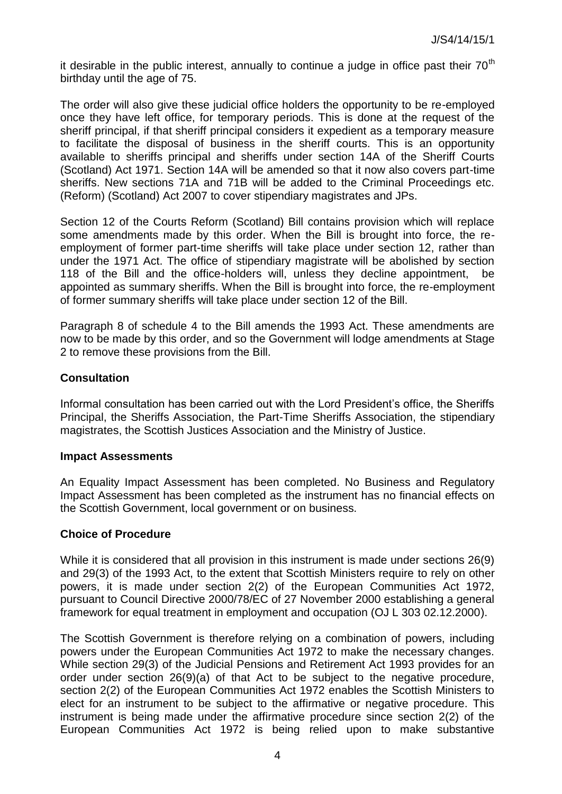it desirable in the public interest, annually to continue a judge in office past their  $70<sup>th</sup>$ birthday until the age of 75.

The order will also give these judicial office holders the opportunity to be re-employed once they have left office, for temporary periods. This is done at the request of the sheriff principal, if that sheriff principal considers it expedient as a temporary measure to facilitate the disposal of business in the sheriff courts. This is an opportunity available to sheriffs principal and sheriffs under section 14A of the Sheriff Courts (Scotland) Act 1971. Section 14A will be amended so that it now also covers part-time sheriffs. New sections 71A and 71B will be added to the Criminal Proceedings etc. (Reform) (Scotland) Act 2007 to cover stipendiary magistrates and JPs.

Section 12 of the Courts Reform (Scotland) Bill contains provision which will replace some amendments made by this order. When the Bill is brought into force, the reemployment of former part-time sheriffs will take place under section 12, rather than under the 1971 Act. The office of stipendiary magistrate will be abolished by section 118 of the Bill and the office-holders will, unless they decline appointment, be appointed as summary sheriffs. When the Bill is brought into force, the re-employment of former summary sheriffs will take place under section 12 of the Bill.

Paragraph 8 of schedule 4 to the Bill amends the 1993 Act. These amendments are now to be made by this order, and so the Government will lodge amendments at Stage 2 to remove these provisions from the Bill.

### **Consultation**

Informal consultation has been carried out with the Lord President's office, the Sheriffs Principal, the Sheriffs Association, the Part-Time Sheriffs Association, the stipendiary magistrates, the Scottish Justices Association and the Ministry of Justice.

#### **Impact Assessments**

An Equality Impact Assessment has been completed. No Business and Regulatory Impact Assessment has been completed as the instrument has no financial effects on the Scottish Government, local government or on business.

#### **Choice of Procedure**

While it is considered that all provision in this instrument is made under sections 26(9) and 29(3) of the 1993 Act, to the extent that Scottish Ministers require to rely on other powers, it is made under section 2(2) of the European Communities Act 1972, pursuant to Council Directive 2000/78/EC of 27 November 2000 establishing a general framework for equal treatment in employment and occupation (OJ L 303 02.12.2000).

The Scottish Government is therefore relying on a combination of powers, including powers under the European Communities Act 1972 to make the necessary changes. While section 29(3) of the Judicial Pensions and Retirement Act 1993 provides for an order under section 26(9)(a) of that Act to be subject to the negative procedure, section 2(2) of the European Communities Act 1972 enables the Scottish Ministers to elect for an instrument to be subject to the affirmative or negative procedure. This instrument is being made under the affirmative procedure since section 2(2) of the European Communities Act 1972 is being relied upon to make substantive